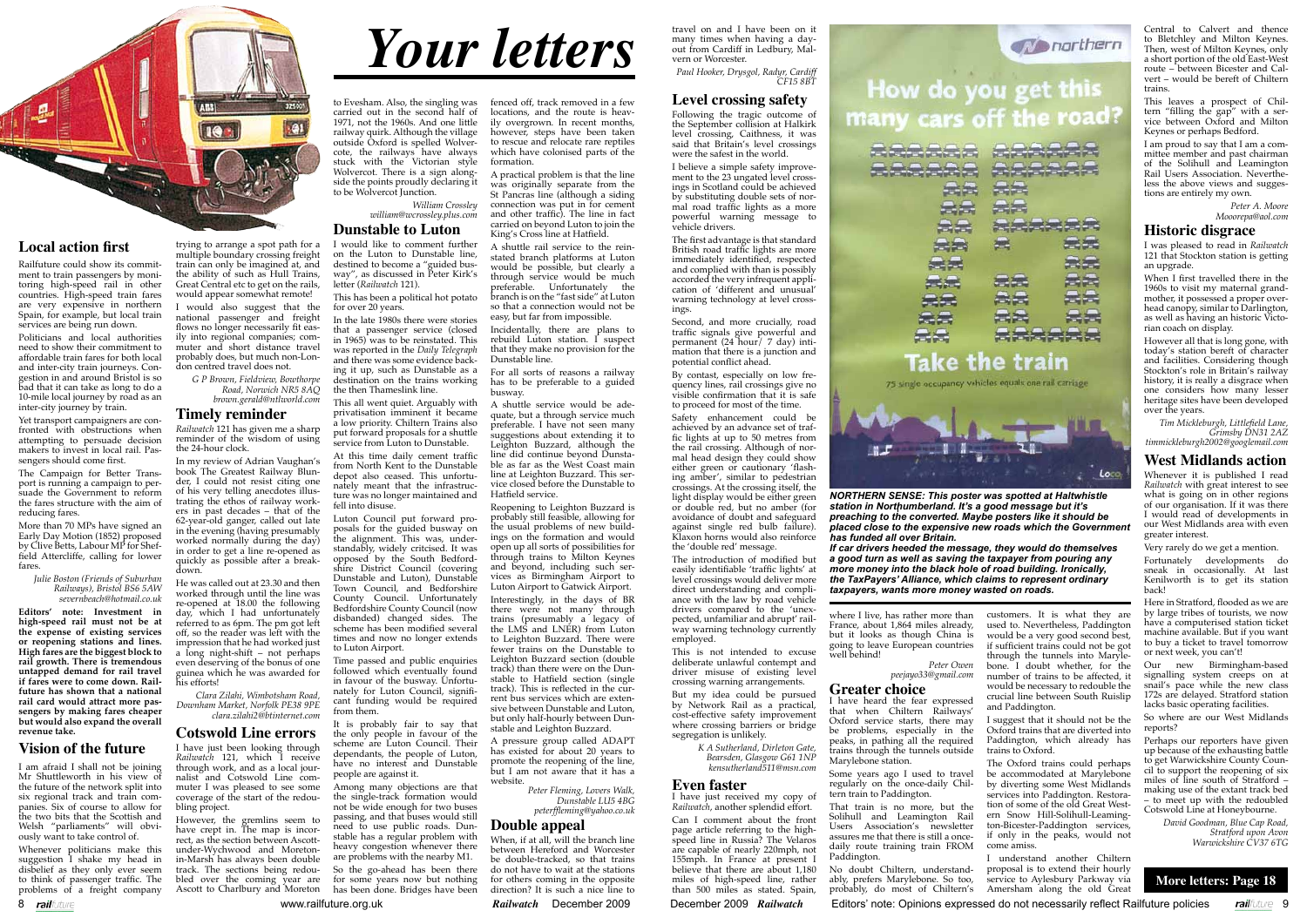# *Your letters*

**More letters: Page 18**

8 railfuture **1996 www.railfuture.org.uk Railwatch December 2009 December 2009 Railwatch Editors' note: Opinions expressed do not necessarily reflect Railfuture policies railfuture 9** 



#### **Local action first**

Railfuture could show its commitment to train passengers by monitoring high-speed rail in other countries. High-speed train fares are very expensive in northern Spain, for example, but local train services are being run down.

Politicians and local authorities need to show their commitment to affordable train fares for both local and inter-city train journeys. Congestion in and around Bristol is so bad that it can take as long to do a 10-mile local journey by road as an inter-city journey by train.

More than 70 MPs have signed an Early Day Motion (1852) proposed by Clive Betts, Labour MP for Sheffield Attercliffe, calling for lower fares

Yet transport campaigners are confronted with obstructions when attempting to persuade decision makers to invest in local rail. Passengers should come first.

The Campaign for Better Transport is running a campaign to persuade the Government to reform the fares structure with the aim of reducing fares.

> *Julie Boston (Friends of Suburban Railways), Bristol BS6 5AW severnbeach@hotmail.co.uk*

**Editors' note: Investment in high-speed rail must not be at the expense of existing services or reopening stations and lines. High fares are the biggest block to rail growth. There is tremendous untapped demand for rail travel if fares were to come down. Railfuture has shown that a national rail card would attract more passengers by making fares cheaper but would also expand the overall revenue take.**

#### **Vision of the future**

I am afraid I shall not be joining Mr Shuttleworth in his view of the future of the network split into six regional track and train companies. Six of course to allow for the two bits that the Scottish and Welsh "parliaments" will obviously want to take control of.

Whenever politicians make this suggestion I shake my head in disbelief as they only ever seem to think of passenger traffic. The problems of a freight company

to Evesham. Also, the singling was carried out in the second half of 1971, not the 1960s. And one little railway quirk. Although the village outside Oxford is spelled Wolvercote, the railways have always stuck with the Victorian style Wolvercot. There is a sign alongside the points proudly declaring it to be Wolvercot Junction.

*William Crossley*

#### *william@wcrossley.plus.com*

#### **Dunstable to Luton**

I would like to comment further on the Luton to Dunstable line, destined to become a "guided busway", as discussed in Peter Kirk's letter (*Railwatch* 121).

This has been a political hot potato for over 20 years.

In the late 1980s there were stories that a passenger service (closed in 1965) was to be reinstated. This was reported in the *Daily Telegraph* and there was some evidence backing it up, such as Dunstable as a destination on the trains working the then Thameslink line.

This all went quiet. Arguably with privatisation imminent it became a low priority. Chiltern Trains also put forward proposals for a shuttle service from Luton to Dunstable.

At this time daily cement traffic from North Kent to the Dunstable depot also ceased. This unfortunately meant that the infrastructure was no longer maintained and fell into disuse.

which have colonised parts of the formation. A practical problem is that the line was originally separate from the St Pancras line (although a siding connection was put in for cement and other traffic). The line in fact

Luton Council put forward proposals for the guided busway on the alignment. This was, understandably, widely critcised. It was opposed by the South Bedfordshire District Council (covering Dunstable and Luton), Dunstable Town Council, and Bedforshire County Council. Unfortunately Bedfordshire County Council (now disbanded) changed sides. The scheme has been modified several times and now no longer extends to Luton Airport.

Time passed and public enquiries followed which eventually found in favour of the busway. Unfortunately for Luton Council, significant funding would be required from them.

It is probably fair to say that the only people in favour of the scheme are Luton Council. Their dependants, the people of Luton, have no interest and Dunstable people are against it.

Among many objections are that the single-track formation would not be wide enough for two buses passing, and that buses would still need to use public roads. Dunstable has a regular problem with heavy congestion whenever there are problems with the nearby M1.

A pressure group called ADAPT has existed for about 20 years to promote the reopening of the line, but I am not aware that it has a website

So the go-ahead has been there for some years now but nothing has been done. Bridges have been

When, if at all, will the branch line between Hereford and Worcester be double-tracked, so that trains do not have to wait at the stations for others coming in the opposite direction? It is such a nice line to

trying to arrange a spot path for a multiple boundary crossing freight train can only be imagined at, and the ability of such as Hull Trains, Great Central etc to get on the rails, would appear somewhat remote!

I would also suggest that the national passenger and freight flows no longer necessarily fit easily into regional companies; commuter and short distance travel probably does, but much non-London centred travel does not.

> *G P Brown, Fieldview, Bowthorpe Road, Norwich NR5 8AQ brown.gerald@ntlworld.com*

#### **Timely reminder**

*Railwatch* 121 has given me a sharp reminder of the wisdom of using the 24-hour clock.

In my review of Adrian Vaughan's book The Greatest Railway Blunder, I could not resist citing one of his very telling anecdotes illustrating the ethos of railway workers in past decades – that of the 62-year-old ganger, called out late in the evening (having presumably worked normally during the day) in order to get a line re-opened as quickly as possible after a breakdown.

> Can I comment about the front page article referring to the highspeed line in Russia? The Velaros are capable of nearly 220mph, not 155mph. In France at present I believe that there are about 1,180 miles of high-speed line, rather than 500 miles as stated. Spain,

元元 云云 -32 元元 云云



He was called out at 23.30 and then worked through until the line was re-opened at 18.00 the following day, which I had unfortunately referred to as 6pm. The pm got left off, so the reader was left with the impression that he had worked just a long night-shift – not perhaps even deserving of the bonus of one guinea which he was awarded for his efforts!

*Clara Zilahi, Wimbotsham Road, Downham Market, Norfolk PE38 9PE clara.zilahi2@btinternet.com*

#### **Cotswold Line errors**

I have just been looking through *Railwatch* 121, which I receive through work, and as a local journalist and Cotswold Line commuter I was pleased to see some coverage of the start of the redoubling project.

However, the gremlins seem to have crept in. The map is incorrect, as the section between Ascottunder-Wychwood and Moretonin-Marsh has always been double track. The sections being redoubled over the coming year are Ascott to Charlbury and Moreton

fenced off, track removed in a few locations, and the route is heavily overgrown. In recent months, however, steps have been taken to rescue and relocate rare reptiles

carried on beyond Luton to join the King's Cross line at Hatfield. shuttle rail service to the reinstated branch platforms at Luton would be possible, but clearly a through service would be much preferable. Unfortunately the branch is on the "fast side" at Luton so that a connection would not be easy, but far from impossible.

Incidentally, there are plans to rebuild Luton station. I suspect that they make no provision for the Dunstable line.

For all sorts of reasons a railway has to be preferable to a guided busway.

A shuttle service would be adequate, but a through service much preferable. I have not seen many suggestions about extending it to Leighton Buzzard, although the line did continue beyond Dunstable as far as the West Coast main line at Leighton Buzzard. This service closed before the Dunstable to Hatfield service.

Reopening to Leighton Buzzard is probably still feasible, allowing for the usual problems of new buildings on the formation and would open up all sorts of possibilities for through trains to Milton Keynes and beyond, including such services as Birmingham Airport to Luton Airport to Gatwick Airport. Interestingly, in the days of BR there were not many through trains (presumably a legacy of the LMS and LNER) from Luton to Leighton Buzzard. There were fewer trains on the Dunstable to Leighton Buzzard section (double track) than there were on the Dunstable to Hatfield section (single track). This is reflected in the current bus services which are exten-

sive between Dunstable and Luton, but only half-hourly between Dunstable and Leighton Buzzard.

> *Peter Fleming, Lovers Walk, Dunstable LU5 4BG peterffleming@yahoo.co.uk*

#### **Double appeal**

travel on and I have been on it many times when having a dayout from Cardiff in Ledbury, Malvern or Worcester.

*Paul Hooker, Drysgol, Radyr, Cardiff CF15 8BT*

#### **Level crossing safety**

Following the tragic outcome of the September collision at Halkirk level crossing, Caithness, it was said that Britain's level crossings were the safest in the world.

I believe a simple safety improvement to the 23 ungated level crossings in Scotland could be achieved by substituting double sets of normal road traffic lights as a more powerful warning message to vehicle drivers.

The first advantage is that standard British road traffic lights are more immediately identified, respected and complied with than is possibly accorded the very infrequent application of 'different and unusual' warning technology at level crossings.

Second, and more crucially, road traffic signals give powerful and permanent (24 hour) 7 day) intimation that there is a junction and potential conflict ahead.

By contast, especially on low frequency lines, rail crossings give no visible confirmation that it is safe to proceed for most of the time.

Safety enhancement could be achieved by an advance set of traffic lights at up to 50 metres from the rail crossing. Although of normal head design they could show either green or cautionary 'flashing amber', similar to pedestrian crossings. At the crossing itself, the light display would be either green or double red, but no amber (for avoidance of doubt and safeguard against single red bulb failure). Klaxon horns would also reinforce the 'double red' message.

The introduction of modified but easily identifiable 'traffic lights' at level crossings would deliver more direct understanding and compliance with the law by road vehicle drivers compared to the 'unexpected, unfamiliar and abrupt' railway warning technology currently employed.

This is not intended to excuse deliberate unlawful contempt and driver misuse of existing level crossing warning arrangements.

But my idea could be pursued by Network Rail as a practical, cost-effective safety improvement where crossing barriers or bridge segregation is unlikely.

> *K A Sutherland, Dirleton Gate, Bearsden, Glasgow G61 1NP kensutherland511@msn.com*

#### **Even faster**

I have just received my copy of *Railwatch*, another splendid effort.

where I live, has rather more than France, about 1,864 miles already, but it looks as though China is going to leave European countries well behind!

 *Peter Owen peejayo33@gmail.com*

#### **Greater choice**

I have heard the fear expressed that when Chiltern Railways' Oxford service starts, there may be problems, especially in the peaks, in pathing all the required trains through the tunnels outside Marylebone station.

Some years ago I used to travel regularly on the once-daily Chiltern train to Paddington.

That train is no more, but the Solihull and Leamington Rail Users Association's newsletter assures me that there is still a oncedaily route training train FROM Paddington.

No doubt Chiltern, understandably, prefers Marylebone. So too, probably, do most of Chiltern's

customers. It is what they are used to. Nevertheless, Paddington would be a very good second best, if sufficient trains could not be got through the tunnels into Marylebone. I doubt whether, for the number of trains to be affected, it would be necessary to redouble the crucial line between South Ruislip and Paddington.

I suggest that it should not be the Oxford trains that are diverted into Paddington, which already has trains to Oxford.

The Oxford trains could perhaps be accommodated at Marylebone by diverting some West Midlands services into Paddington. Restoration of some of the old Great Western Snow Hill-Solihull-Leamington-Bicester-Paddington services, if only in the peaks, would not come amiss.

I understand another Chiltern proposal is to extend their hourly service to Aylesbury Parkway via Amersham along the old Great

Central to Calvert and thence to Bletchley and Milton Keynes. Then, west of Milton Keynes, only a short portion of the old East-West route – between Bicester and Calvert – would be bereft of Chiltern trains.

This leaves a prospect of Chiltern "filling the gap" with a service between Oxford and Milton Keynes or perhaps Bedford.

I am proud to say that I am a committee member and past chairman of the Solihull and Leamington Rail Users Association. Nevertheless the above views and suggestions are entirely my own.

> *Peter A. Moore Mooorepa@aol.com*

#### **Historic disgrace**

I was pleased to read in *Railwatch* 121 that Stockton station is getting an upgrade.

When I first travelled there in the 1960s to visit my maternal grandmother, it possessed a proper overhead canopy, similar to Darlington, as well as having an historic Victorian coach on display.

However all that is long gone, with today's station bereft of character and facilities. Considering though Stockton's role in Britain's railway history, it is really a disgrace when one considers how many lesser heritage sites have been developed over the years.

*Tim Mickleburgh, Littlefield Lane, Grimsby DN31 2AZ timmickleburgh2002@googlemail.com*

#### **West Midlands action**

Whenever it is published I read *Railwatch* with great interest to see what is going on in other regions of our organisation. If it was there I would read of developments in our West Midlands area with even greater interest.

Very rarely do we get a mention.

Fortunately developments do sneak in occasionally. At last Kenilworth is to get its station back!

Here in Stratford, flooded as we are by large tribes of tourists, we now have a computerised station ticket machine available. But if you want to buy a ticket to travel tomorrow or next week, you can't!

Our new Birmingham-based signalling system creeps on at snail's pace while the new class 172s are delayed. Stratford station lacks basic operating facilities.

So where are our West Midlands reports?

Perhaps our reporters have given up because of the exhausting battle to get Warwickshire County Council to support the reopening of six miles of line south of Stratford – making use of the extant track bed – to meet up with the redoubled Cotswold Line at Honeybourne.

*David Goodman, Blue Cap Road, Stratford upon Avon Warwickshire CV37 6TG*

*NORTHERN SENSE: This poster was spotted at Haltwhistle station in Northumberland. It's a good message but it's preaching to the converted. Maybe posters like it should be placed close to the expensive new roads which the Government has funded all over Britain.* 

*If car drivers heeded the message, they would do themselves a good turn as well as saving the taxpayer from pouring any more money into the black hole of road building. Ironically, the TaxPayers' Alliance, which claims to represent ordinary taxpayers, wants more money wasted on roads.*